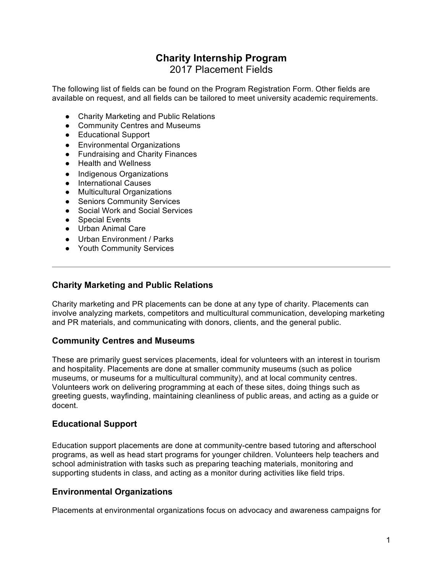# **Charity Internship Program** 2017 Placement Fields

The following list of fields can be found on the Program Registration Form. Other fields are available on request, and all fields can be tailored to meet university academic requirements.

- Charity Marketing and Public Relations
- Community Centres and Museums
- Educational Support
- Environmental Organizations
- Fundraising and Charity Finances
- Health and Wellness
- Indigenous Organizations
- International Causes
- Multicultural Organizations
- Seniors Community Services
- Social Work and Social Services
- Special Events
- Urban Animal Care
- Urban Environment / Parks
- Youth Community Services

# **Charity Marketing and Public Relations**

Charity marketing and PR placements can be done at any type of charity. Placements can involve analyzing markets, competitors and multicultural communication, developing marketing and PR materials, and communicating with donors, clients, and the general public.

# **Community Centres and Museums**

These are primarily guest services placements, ideal for volunteers with an interest in tourism and hospitality. Placements are done at smaller community museums (such as police museums, or museums for a multicultural community), and at local community centres. Volunteers work on delivering programming at each of these sites, doing things such as greeting guests, wayfinding, maintaining cleanliness of public areas, and acting as a guide or docent.

## **Educational Support**

Education support placements are done at community-centre based tutoring and afterschool programs, as well as head start programs for younger children. Volunteers help teachers and school administration with tasks such as preparing teaching materials, monitoring and supporting students in class, and acting as a monitor during activities like field trips.

## **Environmental Organizations**

Placements at environmental organizations focus on advocacy and awareness campaigns for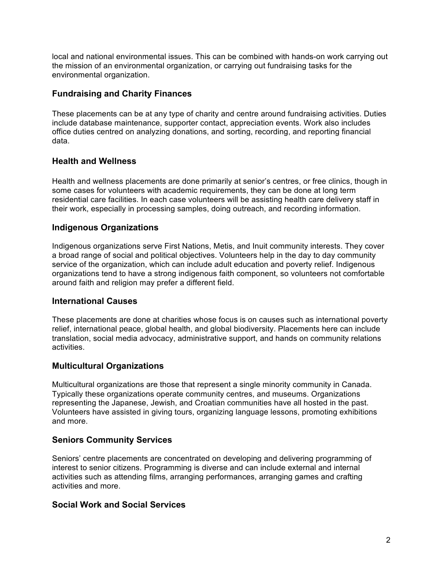local and national environmental issues. This can be combined with hands-on work carrying out the mission of an environmental organization, or carrying out fundraising tasks for the environmental organization.

### **Fundraising and Charity Finances**

These placements can be at any type of charity and centre around fundraising activities. Duties include database maintenance, supporter contact, appreciation events. Work also includes office duties centred on analyzing donations, and sorting, recording, and reporting financial data.

### **Health and Wellness**

Health and wellness placements are done primarily at senior's centres, or free clinics, though in some cases for volunteers with academic requirements, they can be done at long term residential care facilities. In each case volunteers will be assisting health care delivery staff in their work, especially in processing samples, doing outreach, and recording information.

### **Indigenous Organizations**

Indigenous organizations serve First Nations, Metis, and Inuit community interests. They cover a broad range of social and political objectives. Volunteers help in the day to day community service of the organization, which can include adult education and poverty relief. Indigenous organizations tend to have a strong indigenous faith component, so volunteers not comfortable around faith and religion may prefer a different field.

#### **International Causes**

These placements are done at charities whose focus is on causes such as international poverty relief, international peace, global health, and global biodiversity. Placements here can include translation, social media advocacy, administrative support, and hands on community relations activities.

## **Multicultural Organizations**

Multicultural organizations are those that represent a single minority community in Canada. Typically these organizations operate community centres, and museums. Organizations representing the Japanese, Jewish, and Croatian communities have all hosted in the past. Volunteers have assisted in giving tours, organizing language lessons, promoting exhibitions and more.

## **Seniors Community Services**

Seniors' centre placements are concentrated on developing and delivering programming of interest to senior citizens. Programming is diverse and can include external and internal activities such as attending films, arranging performances, arranging games and crafting activities and more.

### **Social Work and Social Services**